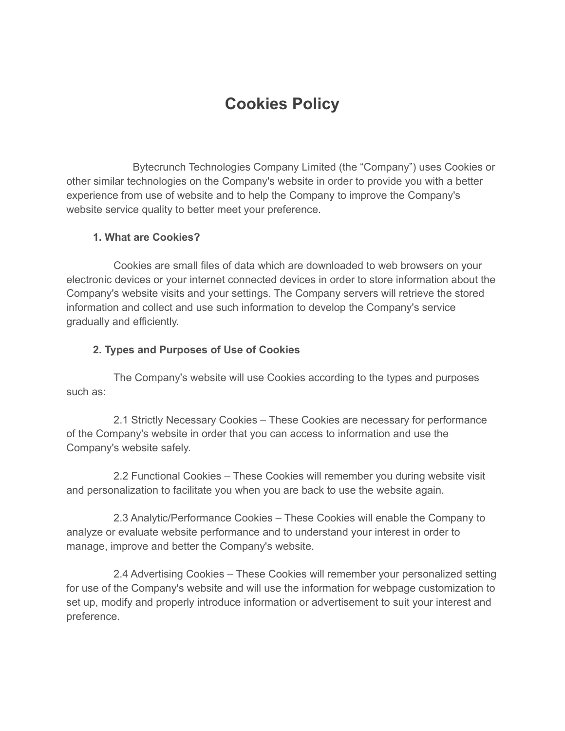# **Cookies Policy**

Bytecrunch Technologies Company Limited (the "Company") uses Cookies or other similar technologies on the Company's website in order to provide you with a better experience from use of website and to help the Company to improve the Company's website service quality to better meet your preference.

#### **1. What are Cookies?**

Cookies are small files of data which are downloaded to web browsers on your electronic devices or your internet connected devices in order to store information about the Company's website visits and your settings. The Company servers will retrieve the stored information and collect and use such information to develop the Company's service gradually and efficiently.

#### **2. Types and Purposes of Use of Cookies**

The Company's website will use Cookies according to the types and purposes such as:

2.1 Strictly Necessary Cookies – These Cookies are necessary for performance of the Company's website in order that you can access to information and use the Company's website safely.

2.2 Functional Cookies – These Cookies will remember you during website visit and personalization to facilitate you when you are back to use the website again.

2.3 Analytic/Performance Cookies – These Cookies will enable the Company to analyze or evaluate website performance and to understand your interest in order to manage, improve and better the Company's website.

2.4 Advertising Cookies – These Cookies will remember your personalized setting for use of the Company's website and will use the information for webpage customization to set up, modify and properly introduce information or advertisement to suit your interest and preference.